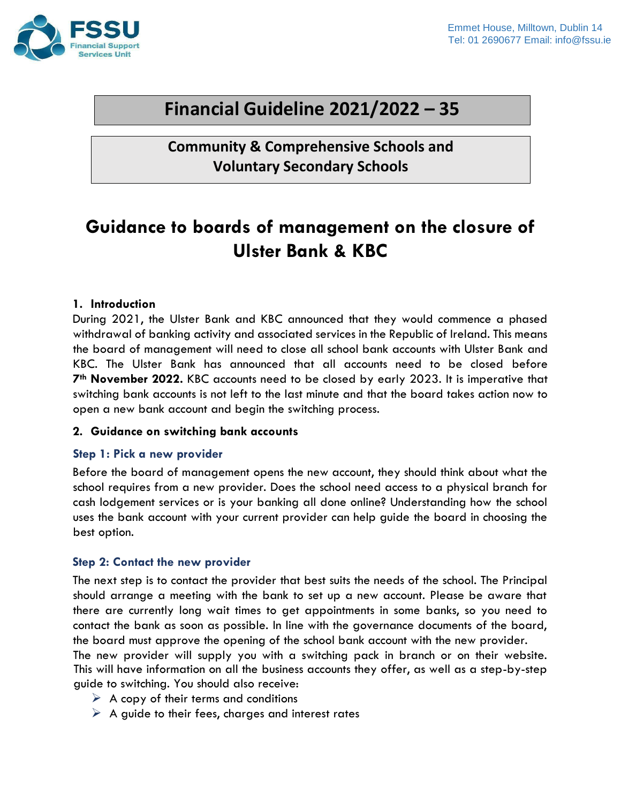

# **Financial Guideline 2021/2022 – 35**

**Community & Comprehensive Schools and Voluntary Secondary Schools**

# **Guidance to boards of management on the closure of Ulster Bank & KBC**

#### **1. Introduction**

During 2021, the Ulster Bank and KBC announced that they would commence a phased withdrawal of banking activity and associated services in the Republic of Ireland. This means the board of management will need to close all school bank accounts with Ulster Bank and KBC. The Ulster Bank has announced that all accounts need to be closed before **7th November 2022.** KBC accounts need to be closed by early 2023. It is imperative that switching bank accounts is not left to the last minute and that the board takes action now to open a new bank account and begin the switching process.

#### **2. Guidance on switching bank accounts**

#### **Step 1: Pick a new provider**

Before the board of management opens the new account, they should think about what the school requires from a new provider. Does the school need access to a physical branch for cash lodgement services or is your banking all done online? Understanding how the school uses the bank account with your current provider can help guide the board in choosing the best option.

#### **Step 2: Contact the new provider**

The next step is to contact the provider that best suits the needs of the school. The Principal should arrange a meeting with the bank to set up a new account. Please be aware that there are currently long wait times to get appointments in some banks, so you need to contact the bank as soon as possible. In line with the governance documents of the board, the board must approve the opening of the school bank account with the new provider.

The new provider will supply you with a switching pack in branch or on their website. This will have information on all the business accounts they offer, as well as a step-by-step guide to switching. You should also receive:

- $\triangleright$  A copy of their terms and conditions
- $\triangleright$  A guide to their fees, charges and interest rates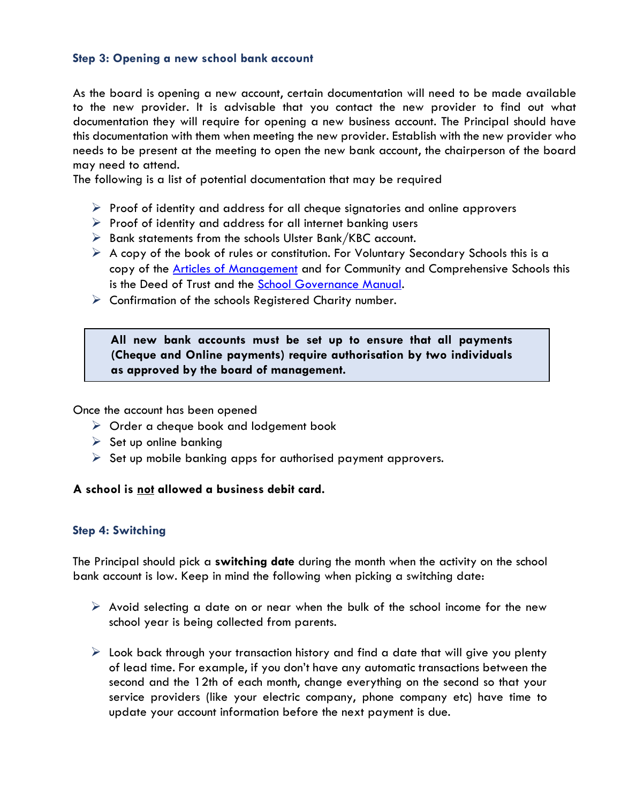#### **Step 3: Opening a new school bank account**

As the board is [opening a new account,](https://www.ccpc.ie/consumers/money/banking/opening-account/) certain documentation will need to be made available to the new provider. It is advisable that you contact the new provider to find out what documentation they will require for opening a new business account. The Principal should have this documentation with them when meeting the new provider. Establish with the new provider who needs to be present at the meeting to open the new bank account, the chairperson of the board may need to attend.

The following is a list of potential documentation that may be required

- $\triangleright$  Proof of identity and address for all cheque signatories and online approvers
- $\triangleright$  Proof of identity and address for all internet banking users
- $\triangleright$  Bank statements from the schools Ulster Bank/KBC account.
- $\triangleright$  A copy of the book of rules or constitution. For Voluntary Secondary Schools this is a copy of the [Articles of Management](https://www.fssu.ie/app/uploads/2017/08/Articles-of-Management-updated-2021_22.pdf) and for Community and Comprehensive Schools this is the Deed of Trust and the [School Governance Manual.](https://www.fssu.ie/app/uploads/2022/04/Governance-Manual-for-CC-Schools.pdf)
- $\triangleright$  Confirmation of the schools Registered Charity number.

### **All new bank accounts must be set up to ensure that all payments (Cheque and Online payments) require authorisation by two individuals as approved by the board of management.**

Once the account has been opened

- ➢ Order a cheque book and lodgement book
- $\triangleright$  Set up online banking
- $\triangleright$  Set up mobile banking apps for authorised payment approvers.

#### **A school is not allowed a business debit card.**

#### **Step 4: Switching**

The Principal should pick a **switching date** during the month when the activity on the school bank account is low. Keep in mind the following when picking a switching date:

- $\triangleright$  Avoid selecting a date on or near when the bulk of the school income for the new school year is being collected from parents.
- $\triangleright$  Look back through your transaction history and find a date that will give you plenty of lead time. For example, if you don't have any automatic transactions between the second and the 12th of each month, change everything on the second so that your service providers (like your electric company, phone company etc) have time to update your account information before the next payment is due.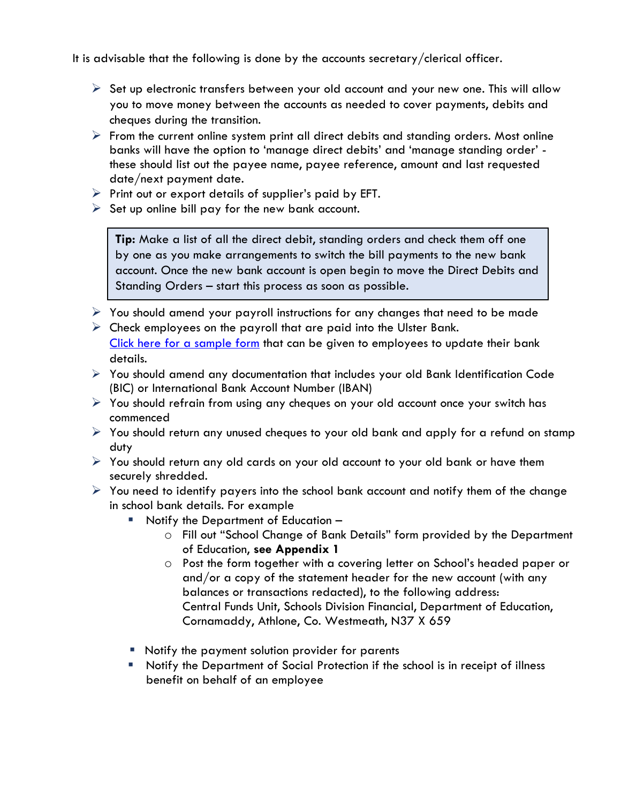It is advisable that the following is done by the accounts secretary/clerical officer.

- $\triangleright$  Set up electronic transfers between your old account and your new one. This will allow you to move money between the accounts as needed to cover payments, debits and cheques during the transition.
- $\triangleright$  From the current online system print all direct debits and standing orders. Most online banks will have the option to 'manage direct debits' and 'manage standing order' these should list out the payee name, payee reference, amount and last requested date/next payment date.
- $\triangleright$  Print out or export details of supplier's paid by EFT.
- $\triangleright$  Set up online bill pay for the new bank account.

**Tip:** Make a list of all the direct debit, standing orders and check them off one by one as you make arrangements to switch the bill payments to the new bank account. Once the new bank account is open begin to move the Direct Debits and Standing Orders – start this process as soon as possible.

- $\triangleright$  You should amend your payroll instructions for any changes that need to be made
- $\triangleright$  Check employees on the payroll that are paid into the Ulster Bank. Click here [for a sample form](https://www.fssu.ie/app/uploads/2022/06/Update-Employee-Bank-Details-Form.docx) that can be given to employees to update their bank details.
- ➢ You should amend any documentation that includes your old Bank Identification Code (BIC) or International Bank Account Number (IBAN)
- $\triangleright$  You should refrain from using any cheques on your old account once your switch has commenced
- $\triangleright$  You should return any unused cheques to your old bank and apply for a refund on stamp duty
- ➢ You should return any old cards on your old account to your old bank or have them securely shredded.
- $\triangleright$  You need to identify payers into the school bank account and notify them of the change in school bank details. For example
	- Notify the Department of Education
		- o Fill out "School Change of Bank Details" form provided by the Department of Education, **see Appendix 1**
		- o Post the form together with a covering letter on School's headed paper or and/or a copy of the statement header for the new account (with any balances or transactions redacted), to the following address: Central Funds Unit, Schools Division Financial, Department of Education, Cornamaddy, Athlone, Co. Westmeath, N37 X 659
	- Notify the payment solution provider for parents
	- Notify the Department of Social Protection if the school is in receipt of illness benefit on behalf of an employee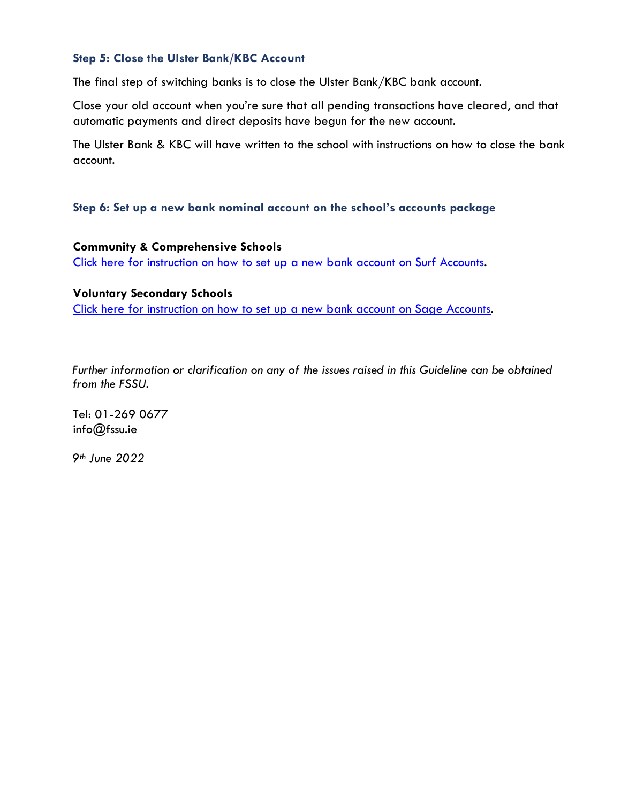#### **Step 5: Close the Ulster Bank/KBC Account**

The final step of switching banks is to close the Ulster Bank/KBC bank account.

Close your old account when you're sure that all pending transactions have cleared, and that automatic payments and direct deposits have begun for the new account.

The Ulster Bank & KBC will have written to the school with instructions on how to close the bank account.

#### **Step 6: Set up a new bank nominal account on the school's accounts package**

**Community & Comprehensive Schools** [Click here for instruction on how to set up a new bank account on Surf Accounts.](https://www.fssu.ie/app/uploads/2022/06/Surf-Accounts-Quick-reference-guide-how-to-set-up-a-new-bank-account-on-Surf-Accounts.pdf)

## **Voluntary Secondary Schools** [Click here for instruction on how to set up a new bank account on Sage](https://www.fssu.ie/app/uploads/2022/06/Sage-Accounts-Quick-reference-guide-how-to-set-up-a-new-bank-account-in-Sage-Accounts.pdf) Accounts.

*Further information or clarification on any of the issues raised in this Guideline can be obtained from the FSSU.* 

Tel: 01-269 0677 info@fssu.ie

*9th June 2022*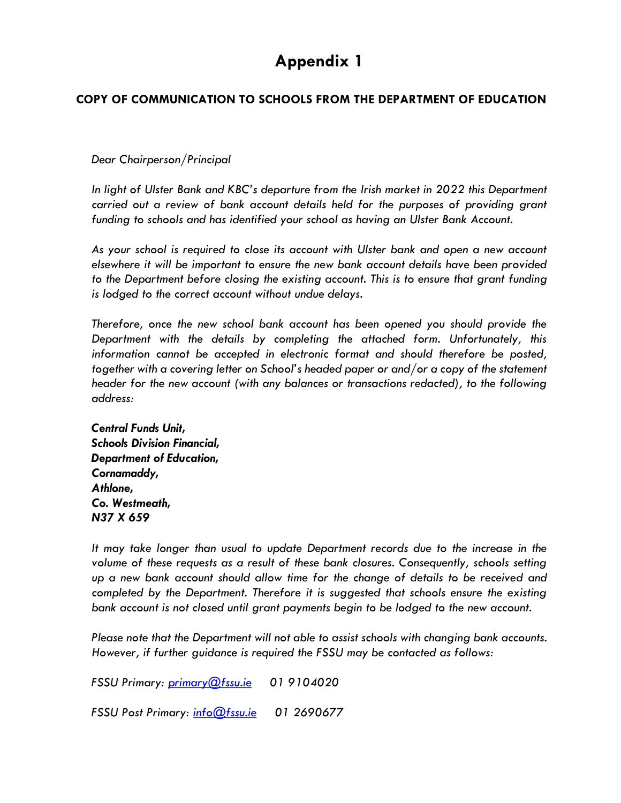# **Appendix 1**

### **COPY OF COMMUNICATION TO SCHOOLS FROM THE DEPARTMENT OF EDUCATION**

#### *Dear Chairperson/Principal*

*In light of Ulster Bank and KBC's departure from the Irish market in 2022 this Department carried out a review of bank account details held for the purposes of providing grant funding to schools and has identified your school as having an Ulster Bank Account.* 

*As your school is required to close its account with Ulster bank and open a new account elsewhere it will be important to ensure the new bank account details have been provided to the Department before closing the existing account. This is to ensure that grant funding is lodged to the correct account without undue delays.*

*Therefore, once the new school bank account has been opened you should provide the Department with the details by completing the attached form. Unfortunately, this information cannot be accepted in electronic format and should therefore be posted, together with a covering letter on School's headed paper or and/or a copy of the statement header for the new account (with any balances or transactions redacted), to the following address:*

*Central Funds Unit, Schools Division Financial, Department of Education, Cornamaddy, Athlone, Co. Westmeath, N37 X 659* 

*It may take longer than usual to update Department records due to the increase in the volume of these requests as a result of these bank closures. Consequently, schools setting up a new bank account should allow time for the change of details to be received and completed by the Department. Therefore it is suggested that schools ensure the existing bank account is not closed until grant payments begin to be lodged to the new account.*

*Please note that the Department will not able to assist schools with changing bank accounts. However, if further guidance is required the FSSU may be contacted as follows:*

*FSSU Primary: [primary@fssu.ie](mailto:primary@fssu.ie) 01 9104020*

*FSSU Post Primary: [info@fssu.ie](mailto:info@fssu.ie) 01 2690677*